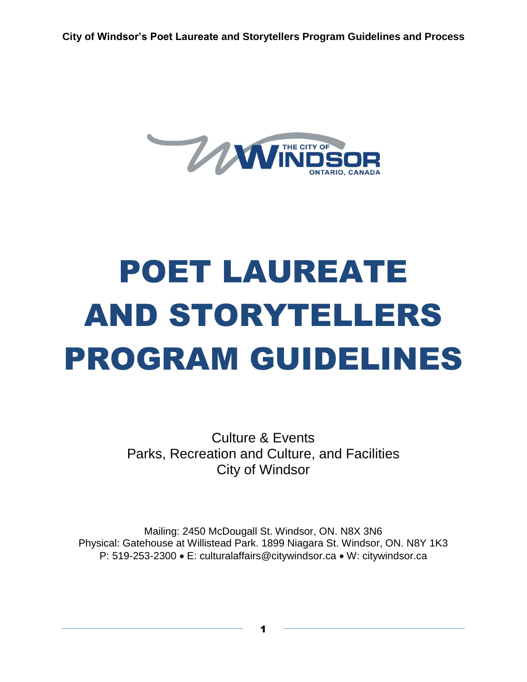

# POET LAUREATE AND STORYTELLERS PROGRAM GUIDELINES

Culture & Events Parks, Recreation and Culture, and Facilities City of Windsor

Mailing: 2450 McDougall St. Windsor, ON. N8X 3N6 Physical: Gatehouse at Willistead Park. 1899 Niagara St. Windsor, ON. N8Y 1K3 P: 519-253-2300 · E: culturalaffairs@citywindsor.ca · W: citywindsor.ca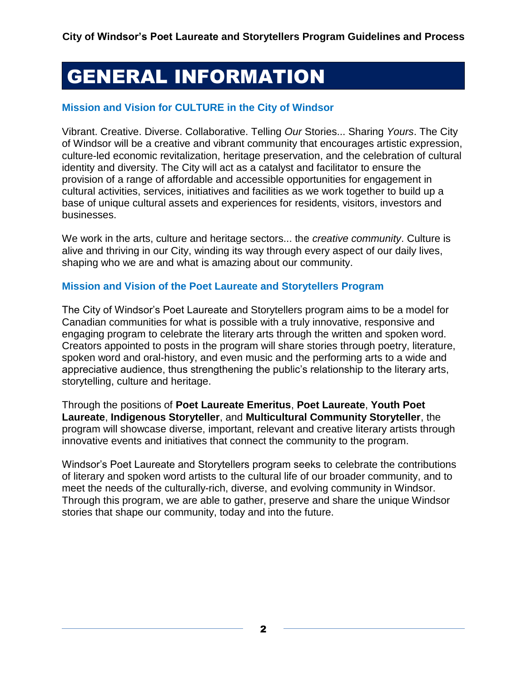# GENERAL INFORMATION

#### **Mission and Vision for CULTURE in the City of Windsor**

Vibrant. Creative. Diverse. Collaborative. Telling *Our* Stories... Sharing *Yours*. The City of Windsor will be a creative and vibrant community that encourages artistic expression, culture-led economic revitalization, heritage preservation, and the celebration of cultural identity and diversity. The City will act as a catalyst and facilitator to ensure the provision of a range of affordable and accessible opportunities for engagement in cultural activities, services, initiatives and facilities as we work together to build up a base of unique cultural assets and experiences for residents, visitors, investors and businesses.

We work in the arts, culture and heritage sectors... the *creative community*. Culture is alive and thriving in our City, winding its way through every aspect of our daily lives, shaping who we are and what is amazing about our community.

#### **Mission and Vision of the Poet Laureate and Storytellers Program**

The City of Windsor's Poet Laureate and Storytellers program aims to be a model for Canadian communities for what is possible with a truly innovative, responsive and engaging program to celebrate the literary arts through the written and spoken word. Creators appointed to posts in the program will share stories through poetry, literature, spoken word and oral-history, and even music and the performing arts to a wide and appreciative audience, thus strengthening the public's relationship to the literary arts, storytelling, culture and heritage.

Through the positions of **Poet Laureate Emeritus**, **Poet Laureate**, **Youth Poet Laureate**, **Indigenous Storyteller**, and **Multicultural Community Storyteller**, the program will showcase diverse, important, relevant and creative literary artists through innovative events and initiatives that connect the community to the program.

Windsor's Poet Laureate and Storytellers program seeks to celebrate the contributions of literary and spoken word artists to the cultural life of our broader community, and to meet the needs of the culturally-rich, diverse, and evolving community in Windsor. Through this program, we are able to gather, preserve and share the unique Windsor stories that shape our community, today and into the future.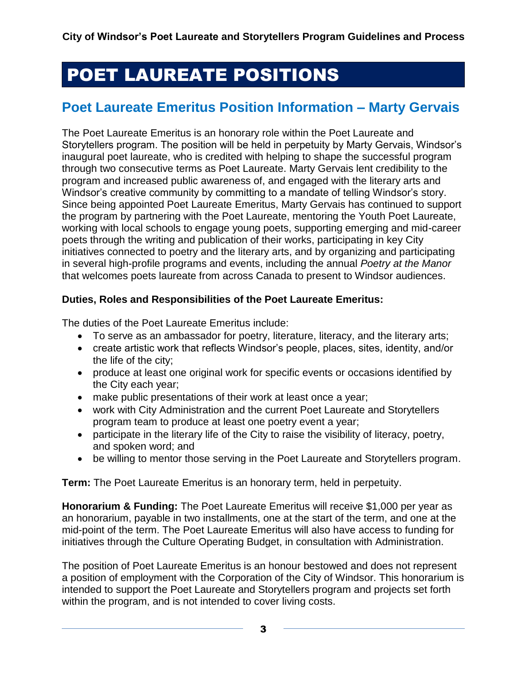# POET LAUREATE POSITIONS

## **Poet Laureate Emeritus Position Information – Marty Gervais**

The Poet Laureate Emeritus is an honorary role within the Poet Laureate and Storytellers program. The position will be held in perpetuity by Marty Gervais, Windsor's inaugural poet laureate, who is credited with helping to shape the successful program through two consecutive terms as Poet Laureate. Marty Gervais lent credibility to the program and increased public awareness of, and engaged with the literary arts and Windsor's creative community by committing to a mandate of telling Windsor's story. Since being appointed Poet Laureate Emeritus, Marty Gervais has continued to support the program by partnering with the Poet Laureate, mentoring the Youth Poet Laureate, working with local schools to engage young poets, supporting emerging and mid-career poets through the writing and publication of their works, participating in key City initiatives connected to poetry and the literary arts, and by organizing and participating in several high-profile programs and events, including the annual *Poetry at the Manor*  that welcomes poets laureate from across Canada to present to Windsor audiences.

#### **Duties, Roles and Responsibilities of the Poet Laureate Emeritus:**

The duties of the Poet Laureate Emeritus include:

- To serve as an ambassador for poetry, literature, literacy, and the literary arts;
- create artistic work that reflects Windsor's people, places, sites, identity, and/or the life of the city;
- produce at least one original work for specific events or occasions identified by the City each year;
- make public presentations of their work at least once a year;
- work with City Administration and the current Poet Laureate and Storytellers program team to produce at least one poetry event a year;
- participate in the literary life of the City to raise the visibility of literacy, poetry, and spoken word; and
- be willing to mentor those serving in the Poet Laureate and Storytellers program.

**Term:** The Poet Laureate Emeritus is an honorary term, held in perpetuity.

**Honorarium & Funding:** The Poet Laureate Emeritus will receive \$1,000 per year as an honorarium, payable in two installments, one at the start of the term, and one at the mid-point of the term. The Poet Laureate Emeritus will also have access to funding for initiatives through the Culture Operating Budget, in consultation with Administration.

The position of Poet Laureate Emeritus is an honour bestowed and does not represent a position of employment with the Corporation of the City of Windsor. This honorarium is intended to support the Poet Laureate and Storytellers program and projects set forth within the program, and is not intended to cover living costs.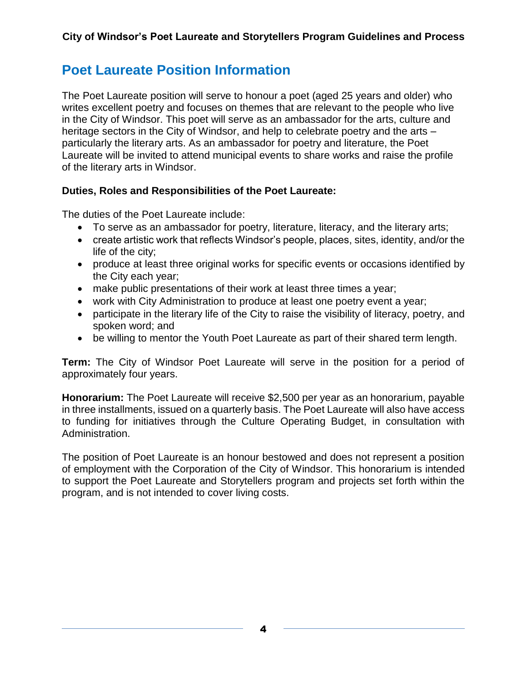### **Poet Laureate Position Information**

The Poet Laureate position will serve to honour a poet (aged 25 years and older) who writes excellent poetry and focuses on themes that are relevant to the people who live in the City of Windsor. This poet will serve as an ambassador for the arts, culture and heritage sectors in the City of Windsor, and help to celebrate poetry and the arts – particularly the literary arts. As an ambassador for poetry and literature, the Poet Laureate will be invited to attend municipal events to share works and raise the profile of the literary arts in Windsor.

#### **Duties, Roles and Responsibilities of the Poet Laureate:**

The duties of the Poet Laureate include:

- To serve as an ambassador for poetry, literature, literacy, and the literary arts;
- create artistic work that reflects Windsor's people, places, sites, identity, and/or the life of the city;
- produce at least three original works for specific events or occasions identified by the City each year;
- make public presentations of their work at least three times a year;
- work with City Administration to produce at least one poetry event a year;
- participate in the literary life of the City to raise the visibility of literacy, poetry, and spoken word; and
- be willing to mentor the Youth Poet Laureate as part of their shared term length.

**Term:** The City of Windsor Poet Laureate will serve in the position for a period of approximately four years.

**Honorarium:** The Poet Laureate will receive \$2,500 per year as an honorarium, payable in three installments, issued on a quarterly basis. The Poet Laureate will also have access to funding for initiatives through the Culture Operating Budget, in consultation with Administration.

The position of Poet Laureate is an honour bestowed and does not represent a position of employment with the Corporation of the City of Windsor. This honorarium is intended to support the Poet Laureate and Storytellers program and projects set forth within the program, and is not intended to cover living costs.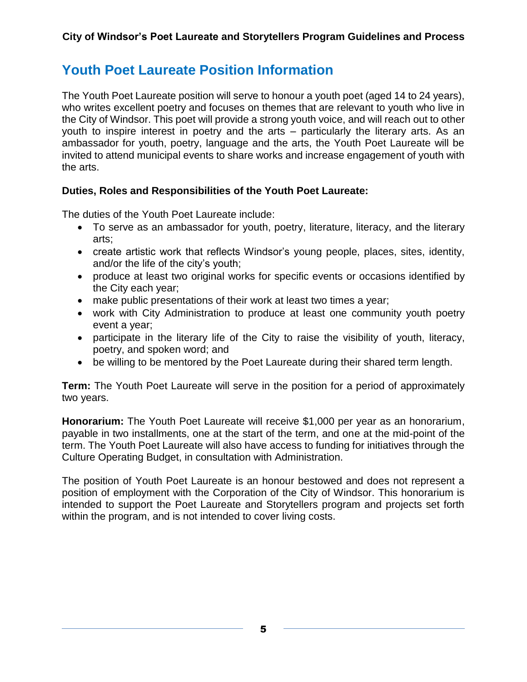## **Youth Poet Laureate Position Information**

The Youth Poet Laureate position will serve to honour a youth poet (aged 14 to 24 years), who writes excellent poetry and focuses on themes that are relevant to youth who live in the City of Windsor. This poet will provide a strong youth voice, and will reach out to other youth to inspire interest in poetry and the arts – particularly the literary arts. As an ambassador for youth, poetry, language and the arts, the Youth Poet Laureate will be invited to attend municipal events to share works and increase engagement of youth with the arts.

#### **Duties, Roles and Responsibilities of the Youth Poet Laureate:**

The duties of the Youth Poet Laureate include:

- To serve as an ambassador for youth, poetry, literature, literacy, and the literary arts;
- create artistic work that reflects Windsor's young people, places, sites, identity, and/or the life of the city's youth;
- produce at least two original works for specific events or occasions identified by the City each year;
- make public presentations of their work at least two times a year;
- work with City Administration to produce at least one community youth poetry event a year;
- participate in the literary life of the City to raise the visibility of youth, literacy, poetry, and spoken word; and
- be willing to be mentored by the Poet Laureate during their shared term length.

**Term:** The Youth Poet Laureate will serve in the position for a period of approximately two years.

**Honorarium:** The Youth Poet Laureate will receive \$1,000 per year as an honorarium, payable in two installments, one at the start of the term, and one at the mid-point of the term. The Youth Poet Laureate will also have access to funding for initiatives through the Culture Operating Budget, in consultation with Administration.

The position of Youth Poet Laureate is an honour bestowed and does not represent a position of employment with the Corporation of the City of Windsor. This honorarium is intended to support the Poet Laureate and Storytellers program and projects set forth within the program, and is not intended to cover living costs.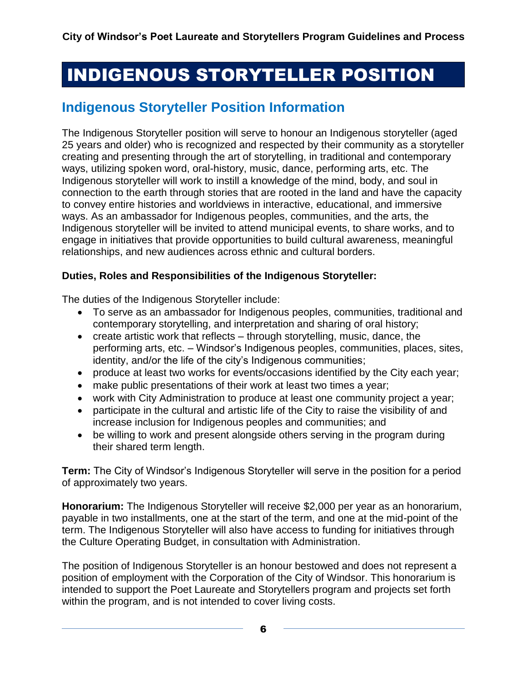# INDIGENOUS STORYTELLER POSITION

### **Indigenous Storyteller Position Information**

The Indigenous Storyteller position will serve to honour an Indigenous storyteller (aged 25 years and older) who is recognized and respected by their community as a storyteller creating and presenting through the art of storytelling, in traditional and contemporary ways, utilizing spoken word, oral-history, music, dance, performing arts, etc. The Indigenous storyteller will work to instill a knowledge of the mind, body, and soul in connection to the earth through stories that are rooted in the land and have the capacity to convey entire histories and worldviews in interactive, educational, and immersive ways. As an ambassador for Indigenous peoples, communities, and the arts, the Indigenous storyteller will be invited to attend municipal events, to share works, and to engage in initiatives that provide opportunities to build cultural awareness, meaningful relationships, and new audiences across ethnic and cultural borders.

#### **Duties, Roles and Responsibilities of the Indigenous Storyteller:**

The duties of the Indigenous Storyteller include:

- To serve as an ambassador for Indigenous peoples, communities, traditional and contemporary storytelling, and interpretation and sharing of oral history;
- create artistic work that reflects through storytelling, music, dance, the performing arts, etc. – Windsor's Indigenous peoples, communities, places, sites, identity, and/or the life of the city's Indigenous communities;
- produce at least two works for events/occasions identified by the City each year;
- make public presentations of their work at least two times a year;
- work with City Administration to produce at least one community project a year;
- participate in the cultural and artistic life of the City to raise the visibility of and increase inclusion for Indigenous peoples and communities; and
- be willing to work and present alongside others serving in the program during their shared term length.

**Term:** The City of Windsor's Indigenous Storyteller will serve in the position for a period of approximately two years.

**Honorarium:** The Indigenous Storyteller will receive \$2,000 per year as an honorarium, payable in two installments, one at the start of the term, and one at the mid-point of the term. The Indigenous Storyteller will also have access to funding for initiatives through the Culture Operating Budget, in consultation with Administration.

The position of Indigenous Storyteller is an honour bestowed and does not represent a position of employment with the Corporation of the City of Windsor. This honorarium is intended to support the Poet Laureate and Storytellers program and projects set forth within the program, and is not intended to cover living costs.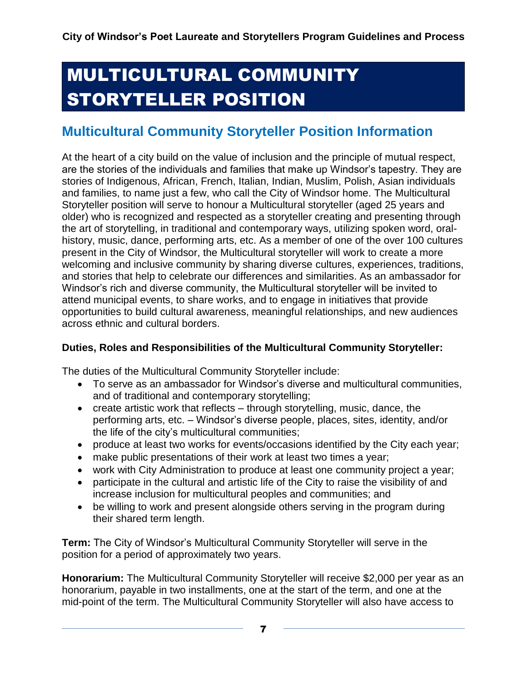# MULTICULTURAL COMMUNITY STORYTELLER POSITION

# **Multicultural Community Storyteller Position Information**

At the heart of a city build on the value of inclusion and the principle of mutual respect, are the stories of the individuals and families that make up Windsor's tapestry. They are stories of Indigenous, African, French, Italian, Indian, Muslim, Polish, Asian individuals and families, to name just a few, who call the City of Windsor home. The Multicultural Storyteller position will serve to honour a Multicultural storyteller (aged 25 years and older) who is recognized and respected as a storyteller creating and presenting through the art of storytelling, in traditional and contemporary ways, utilizing spoken word, oralhistory, music, dance, performing arts, etc. As a member of one of the over 100 cultures present in the City of Windsor, the Multicultural storyteller will work to create a more welcoming and inclusive community by sharing diverse cultures, experiences, traditions, and stories that help to celebrate our differences and similarities. As an ambassador for Windsor's rich and diverse community, the Multicultural storyteller will be invited to attend municipal events, to share works, and to engage in initiatives that provide opportunities to build cultural awareness, meaningful relationships, and new audiences across ethnic and cultural borders.

#### **Duties, Roles and Responsibilities of the Multicultural Community Storyteller:**

The duties of the Multicultural Community Storyteller include:

- To serve as an ambassador for Windsor's diverse and multicultural communities, and of traditional and contemporary storytelling;
- create artistic work that reflects through storytelling, music, dance, the performing arts, etc. – Windsor's diverse people, places, sites, identity, and/or the life of the city's multicultural communities;
- produce at least two works for events/occasions identified by the City each year;
- make public presentations of their work at least two times a year;
- work with City Administration to produce at least one community project a year;
- participate in the cultural and artistic life of the City to raise the visibility of and increase inclusion for multicultural peoples and communities; and
- be willing to work and present alongside others serving in the program during their shared term length.

**Term:** The City of Windsor's Multicultural Community Storyteller will serve in the position for a period of approximately two years.

**Honorarium:** The Multicultural Community Storyteller will receive \$2,000 per year as an honorarium, payable in two installments, one at the start of the term, and one at the mid-point of the term. The Multicultural Community Storyteller will also have access to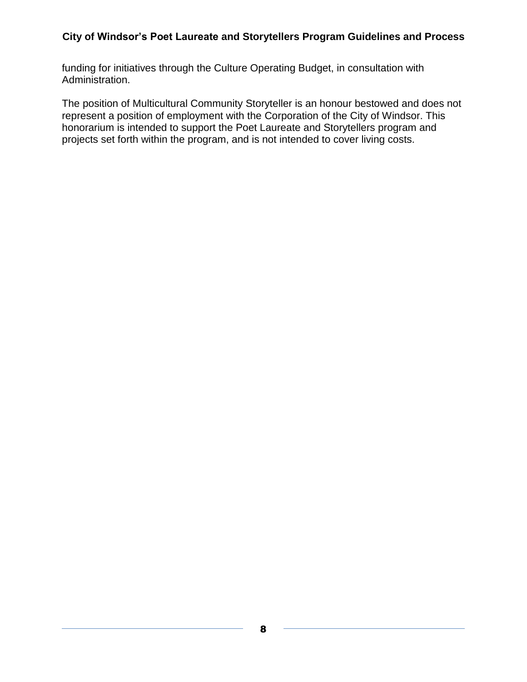funding for initiatives through the Culture Operating Budget, in consultation with Administration.

The position of Multicultural Community Storyteller is an honour bestowed and does not represent a position of employment with the Corporation of the City of Windsor. This honorarium is intended to support the Poet Laureate and Storytellers program and projects set forth within the program, and is not intended to cover living costs.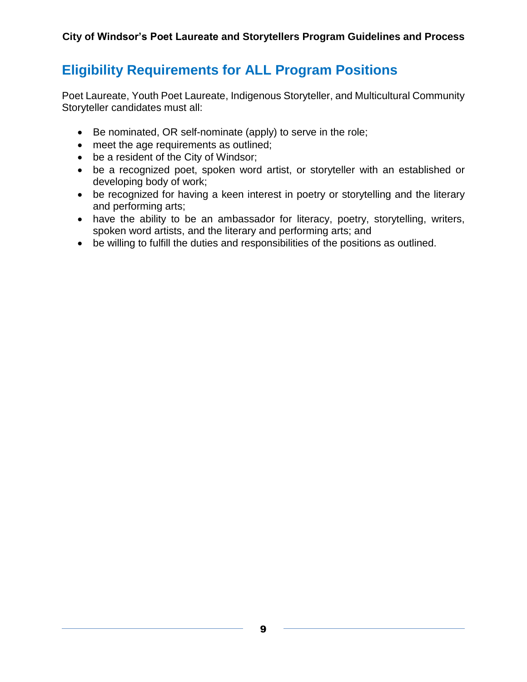# **Eligibility Requirements for ALL Program Positions**

Poet Laureate, Youth Poet Laureate, Indigenous Storyteller, and Multicultural Community Storyteller candidates must all:

- Be nominated, OR self-nominate (apply) to serve in the role;
- meet the age requirements as outlined;
- be a resident of the City of Windsor;
- be a recognized poet, spoken word artist, or storyteller with an established or developing body of work;
- be recognized for having a keen interest in poetry or storytelling and the literary and performing arts;
- have the ability to be an ambassador for literacy, poetry, storytelling, writers, spoken word artists, and the literary and performing arts; and
- be willing to fulfill the duties and responsibilities of the positions as outlined.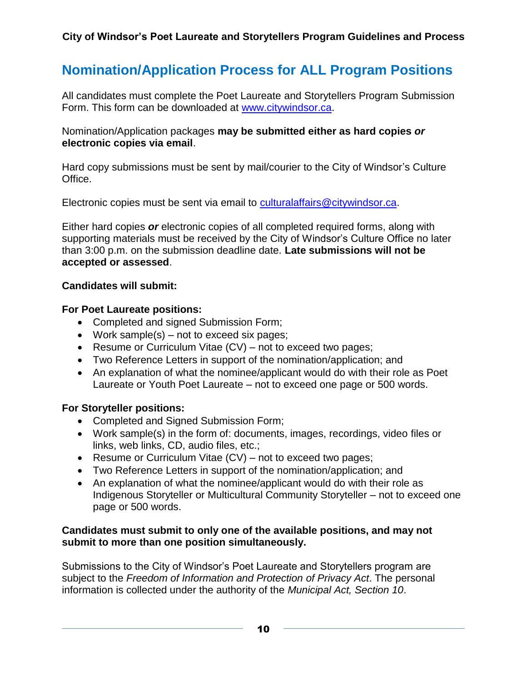## **Nomination/Application Process for ALL Program Positions**

All candidates must complete the Poet Laureate and Storytellers Program Submission Form. This form can be downloaded at [www.citywindsor.ca.](http://www.citywindsor.ca/)

Nomination/Application packages **may be submitted either as hard copies** *or*  **electronic copies via email**.

Hard copy submissions must be sent by mail/courier to the City of Windsor's Culture Office.

Electronic copies must be sent via email to [culturalaffairs@citywindsor.ca.](mailto:culturalaffairs@citywindsor.ca)

Either hard copies *or* electronic copies of all completed required forms, along with supporting materials must be received by the City of Windsor's Culture Office no later than 3:00 p.m. on the submission deadline date. **Late submissions will not be accepted or assessed**.

#### **Candidates will submit:**

#### **For Poet Laureate positions:**

- Completed and signed Submission Form;
- Work sample(s) not to exceed six pages;
- Resume or Curriculum Vitae (CV) not to exceed two pages;
- Two Reference Letters in support of the nomination/application; and
- An explanation of what the nominee/applicant would do with their role as Poet Laureate or Youth Poet Laureate – not to exceed one page or 500 words.

#### **For Storyteller positions:**

- Completed and Signed Submission Form;
- Work sample(s) in the form of: documents, images, recordings, video files or links, web links, CD, audio files, etc.;
- Resume or Curriculum Vitae (CV) not to exceed two pages;
- Two Reference Letters in support of the nomination/application; and
- An explanation of what the nominee/applicant would do with their role as Indigenous Storyteller or Multicultural Community Storyteller – not to exceed one page or 500 words.

#### **Candidates must submit to only one of the available positions, and may not submit to more than one position simultaneously.**

Submissions to the City of Windsor's Poet Laureate and Storytellers program are subject to the *Freedom of Information and Protection of Privacy Act*. The personal information is collected under the authority of the *Municipal Act, Section 10*.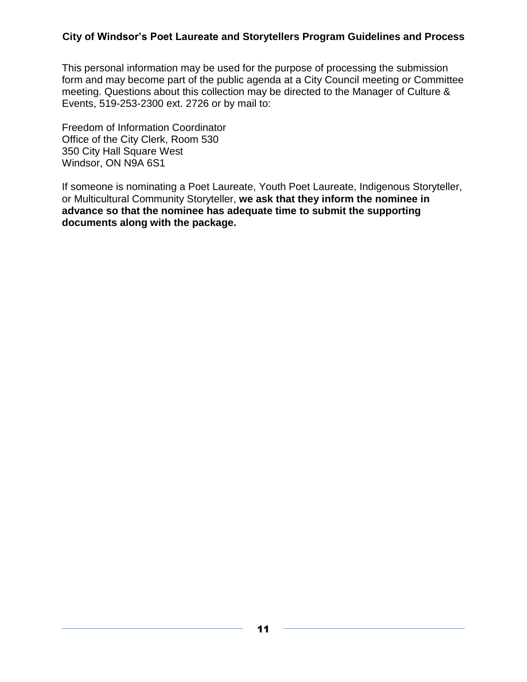This personal information may be used for the purpose of processing the submission form and may become part of the public agenda at a City Council meeting or Committee meeting. Questions about this collection may be directed to the Manager of Culture & Events, 519-253-2300 ext. 2726 or by mail to:

Freedom of Information Coordinator Office of the City Clerk, Room 530 350 City Hall Square West Windsor, ON N9A 6S1

If someone is nominating a Poet Laureate, Youth Poet Laureate, Indigenous Storyteller, or Multicultural Community Storyteller, **we ask that they inform the nominee in advance so that the nominee has adequate time to submit the supporting documents along with the package.**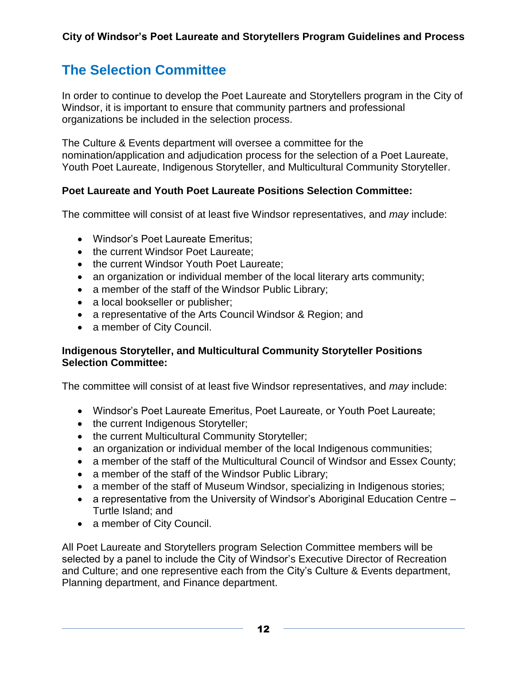# **The Selection Committee**

In order to continue to develop the Poet Laureate and Storytellers program in the City of Windsor, it is important to ensure that community partners and professional organizations be included in the selection process.

The Culture & Events department will oversee a committee for the nomination/application and adjudication process for the selection of a Poet Laureate, Youth Poet Laureate, Indigenous Storyteller, and Multicultural Community Storyteller.

#### **Poet Laureate and Youth Poet Laureate Positions Selection Committee:**

The committee will consist of at least five Windsor representatives, and *may* include:

- Windsor's Poet Laureate Emeritus;
- the current Windsor Poet Laureate;
- the current Windsor Youth Poet Laureate;
- an organization or individual member of the local literary arts community;
- a member of the staff of the Windsor Public Library;
- a local bookseller or publisher;
- a representative of the Arts Council Windsor & Region; and
- a member of City Council.

#### **Indigenous Storyteller, and Multicultural Community Storyteller Positions Selection Committee:**

The committee will consist of at least five Windsor representatives, and *may* include:

- Windsor's Poet Laureate Emeritus, Poet Laureate, or Youth Poet Laureate;
- the current Indigenous Storyteller;
- the current Multicultural Community Storyteller;
- an organization or individual member of the local Indigenous communities;
- a member of the staff of the Multicultural Council of Windsor and Essex County;
- a member of the staff of the Windsor Public Library;
- a member of the staff of Museum Windsor, specializing in Indigenous stories;
- a representative from the University of Windsor's Aboriginal Education Centre Turtle Island; and
- a member of City Council.

All Poet Laureate and Storytellers program Selection Committee members will be selected by a panel to include the City of Windsor's Executive Director of Recreation and Culture; and one representive each from the City's Culture & Events department, Planning department, and Finance department.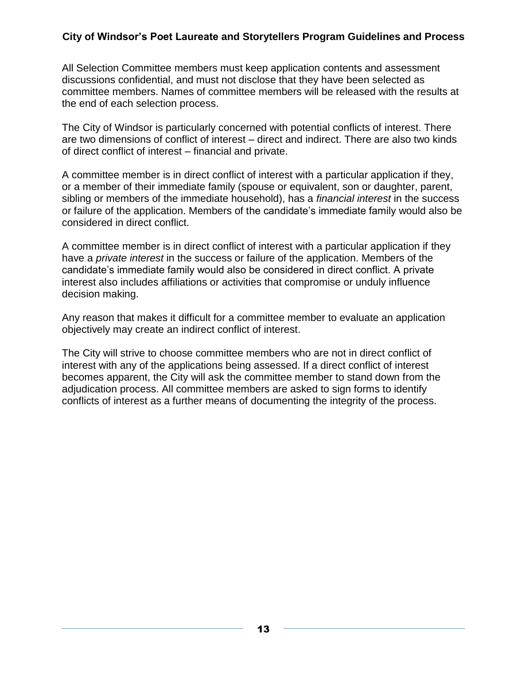All Selection Committee members must keep application contents and assessment discussions confidential, and must not disclose that they have been selected as committee members. Names of committee members will be released with the results at the end of each selection process.

The City of Windsor is particularly concerned with potential conflicts of interest. There are two dimensions of conflict of interest – direct and indirect. There are also two kinds of direct conflict of interest – financial and private.

A committee member is in direct conflict of interest with a particular application if they, or a member of their immediate family (spouse or equivalent, son or daughter, parent, sibling or members of the immediate household), has a *financial interest* in the success or failure of the application. Members of the candidate's immediate family would also be considered in direct conflict.

A committee member is in direct conflict of interest with a particular application if they have a *private interest* in the success or failure of the application. Members of the candidate's immediate family would also be considered in direct conflict. A private interest also includes affiliations or activities that compromise or unduly influence decision making.

Any reason that makes it difficult for a committee member to evaluate an application objectively may create an indirect conflict of interest.

The City will strive to choose committee members who are not in direct conflict of interest with any of the applications being assessed. If a direct conflict of interest becomes apparent, the City will ask the committee member to stand down from the adjudication process. All committee members are asked to sign forms to identify conflicts of interest as a further means of documenting the integrity of the process.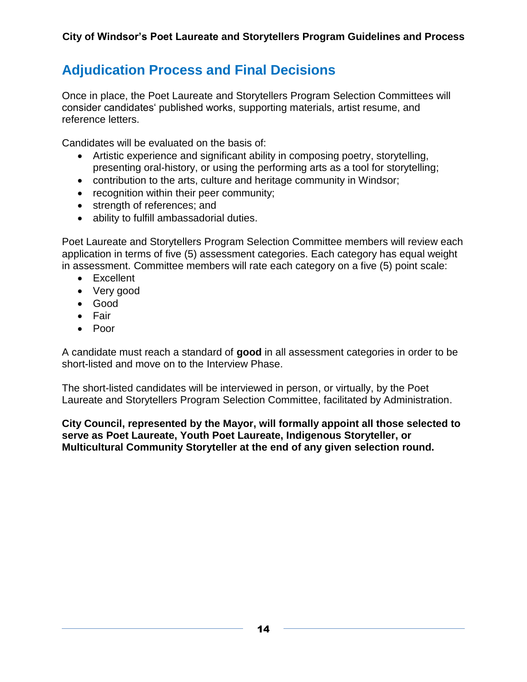# **Adjudication Process and Final Decisions**

Once in place, the Poet Laureate and Storytellers Program Selection Committees will consider candidates' published works, supporting materials, artist resume, and reference letters.

Candidates will be evaluated on the basis of:

- Artistic experience and significant ability in composing poetry, storytelling, presenting oral-history, or using the performing arts as a tool for storytelling;
- contribution to the arts, culture and heritage community in Windsor;
- recognition within their peer community;
- strength of references; and
- ability to fulfill ambassadorial duties.

Poet Laureate and Storytellers Program Selection Committee members will review each application in terms of five (5) assessment categories. Each category has equal weight in assessment. Committee members will rate each category on a five (5) point scale:

- Excellent
- Very good
- Good
- Fair
- Poor

A candidate must reach a standard of **good** in all assessment categories in order to be short-listed and move on to the Interview Phase.

The short-listed candidates will be interviewed in person, or virtually, by the Poet Laureate and Storytellers Program Selection Committee, facilitated by Administration.

#### **City Council, represented by the Mayor, will formally appoint all those selected to serve as Poet Laureate, Youth Poet Laureate, Indigenous Storyteller, or Multicultural Community Storyteller at the end of any given selection round.**